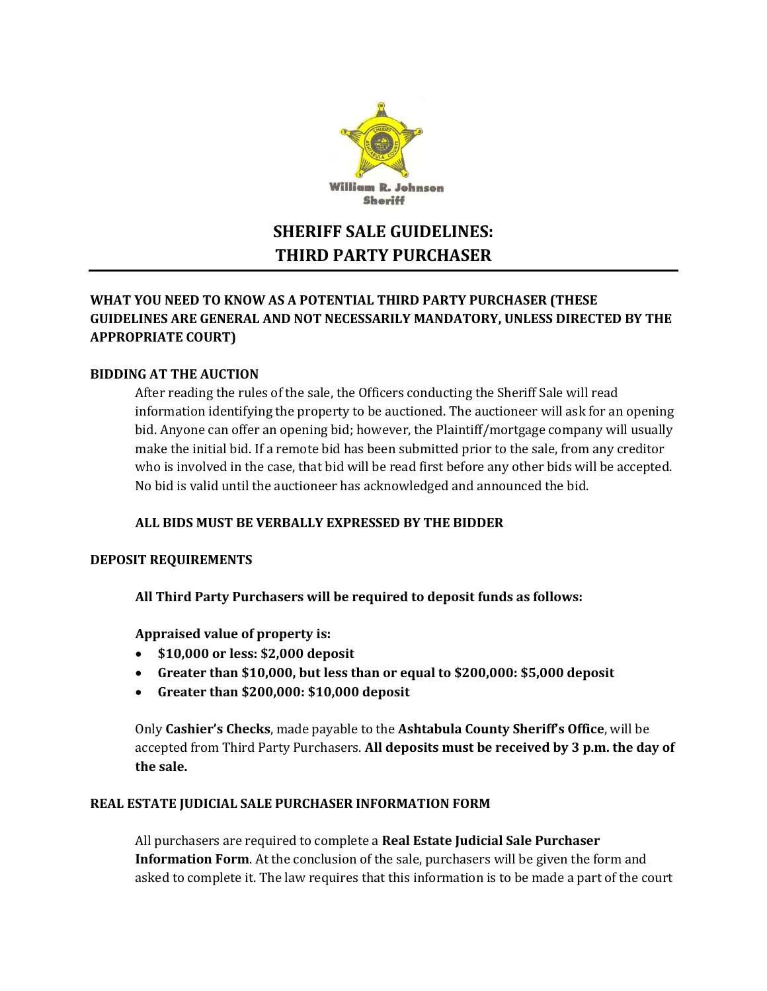

# **SHERIFF SALE GUIDELINES: THIRD PARTY PURCHASER**

# **WHAT YOU NEED TO KNOW AS A POTENTIAL THIRD PARTY PURCHASER (THESE GUIDELINES ARE GENERAL AND NOT NECESSARILY MANDATORY, UNLESS DIRECTED BY THE APPROPRIATE COURT)**

## **BIDDING AT THE AUCTION**

After reading the rules of the sale, the Officers conducting the Sheriff Sale will read information identifying the property to be auctioned. The auctioneer will ask for an opening bid. Anyone can offer an opening bid; however, the Plaintiff/mortgage company will usually make the initial bid. If a remote bid has been submitted prior to the sale, from any creditor who is involved in the case, that bid will be read first before any other bids will be accepted. No bid is valid until the auctioneer has acknowledged and announced the bid.

## **ALL BIDS MUST BE VERBALLY EXPRESSED BY THE BIDDER**

#### **DEPOSIT REQUIREMENTS**

**All Third Party Purchasers will be required to deposit funds as follows:**

#### **Appraised value of property is:**

- **\$10,000 or less: \$2,000 deposit**
- **Greater than \$10,000, but less than or equal to \$200,000: \$5,000 deposit**
- **Greater than \$200,000: \$10,000 deposit**

Only **Cashier's Checks**, made payable to the **Ashtabula County Sheriff's Office**, will be accepted from Third Party Purchasers. **All deposits must be received by 3 p.m. the day of the sale.**

#### **REAL ESTATE JUDICIAL SALE PURCHASER INFORMATION FORM**

All purchasers are required to complete a **Real Estate Judicial Sale Purchaser Information Form**. At the conclusion of the sale, purchasers will be given the form and asked to complete it. The law requires that this information is to be made a part of the court